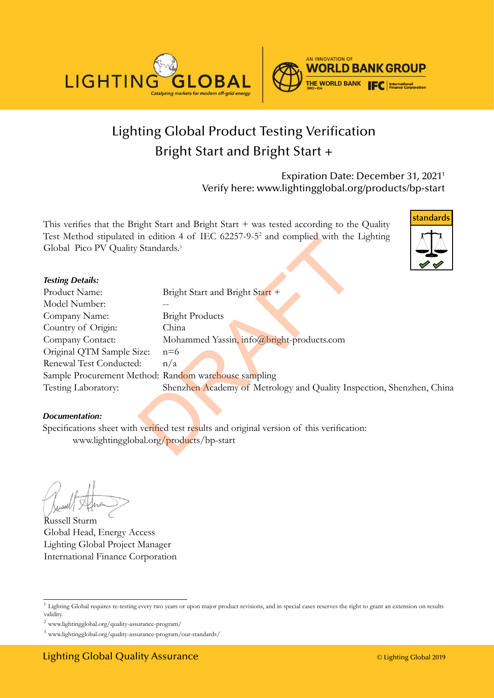



# Lighting Global Product Testing Verification [Bright Start and Bright Start +](DBF_PRODUCT)

Expiration Date: [December 31, 20211](DBF_END-DATE) Verify here: www.lightingglobal.org/products[/bp-start](DBF_REFERENCE)

This verifies that the [Bright Start and Bright Start +](DBF_PRODUCT) was tested according to the Quality Test Method stipulated in edition 4 of IEC 62257-9-52 and complied with the Lighting Global Pico PV Quality Standards.<sup>3</sup>



|                                                | Test include supmated in equition 4 of TEC $0223/223$ and complied with the Eighting       |
|------------------------------------------------|--------------------------------------------------------------------------------------------|
| Global Pico PV Quality Standards. <sup>3</sup> |                                                                                            |
| <b>Testing Details:</b>                        |                                                                                            |
| Product Name:                                  | Bright Start and Bright Start +                                                            |
| Model Number:                                  |                                                                                            |
| Company Name:                                  | <b>Bright Products</b>                                                                     |
| Country of Origin:                             | China                                                                                      |
| Company Contact:                               | Mohammed Yassin, info@bright-products.com                                                  |
| Original QTM Sample Size:                      | $n=6$                                                                                      |
| Renewal Test Conducted:                        | n/a                                                                                        |
|                                                | Sample Procurement Method: Random warehouse sampling                                       |
| Testing Laboratory:                            | Shenzhen Academy of Metrology and Quality Inspection, Shenzhen, China                      |
| Documentation:                                 |                                                                                            |
|                                                | Specifications sheet with verified test results and original version of this verification: |
| www.lightingglobal.org/products/bp-start       |                                                                                            |
|                                                |                                                                                            |

#### *Documentation:*

Russell Sturm Global Head, Energy Access Lighting Global Project Manager International Finance Corporation

<sup>&</sup>lt;sup>1</sup> Lighting Global requires re-testing every two years or upon major product revisions, and in special cases reserves the right to grant an extension on results validity.

 $^2$ www.lightingglobal.org/quality-assurance-program/  $\,$ 

<sup>3</sup> www.lightingglobal.org/quality-assurance-program/our-standards/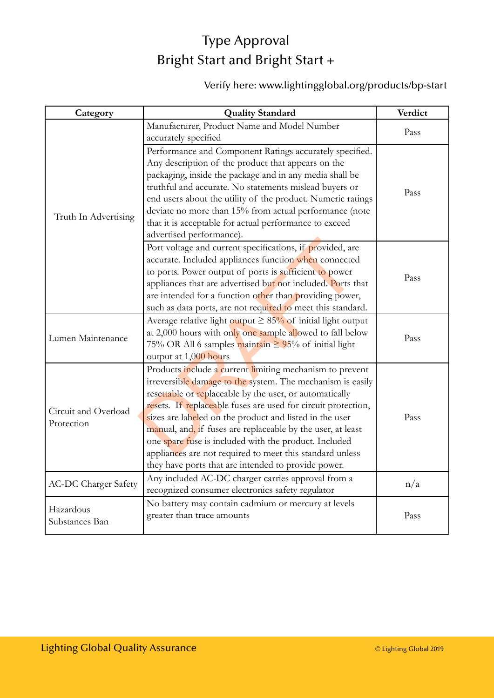## Type Approval [Bright Start and Bright Start +](DBF_PRODUCT)

#### Verify here: www.lightingglobal.org/products/[bp-start](DBF_REFERENCE)

| Category                    | <b>Quality Standard</b>                                           | Verdict |
|-----------------------------|-------------------------------------------------------------------|---------|
|                             | Manufacturer, Product Name and Model Number                       | Pass    |
|                             | accurately specified                                              |         |
|                             | Performance and Component Ratings accurately specified.           |         |
|                             | Any description of the product that appears on the                |         |
|                             | packaging, inside the package and in any media shall be           |         |
|                             | truthful and accurate. No statements mislead buyers or            | Pass    |
|                             | end users about the utility of the product. Numeric ratings       |         |
| Truth In Advertising        | deviate no more than 15% from actual performance (note            |         |
|                             | that it is acceptable for actual performance to exceed            |         |
|                             | advertised performance).                                          |         |
|                             | Port voltage and current specifications, if provided, are         |         |
|                             | accurate. Included appliances function when connected             |         |
|                             | to ports. Power output of ports is sufficient to power            | Pass    |
|                             | appliances that are advertised but not included. Ports that       |         |
|                             | are intended for a function other than providing power,           |         |
|                             | such as data ports, are not required to meet this standard.       |         |
|                             | Average relative light output $\geq 85\%$ of initial light output |         |
| Lumen Maintenance           | at 2,000 hours with only one sample allowed to fall below         | Pass    |
|                             | 75% OR All 6 samples maintain ≥ 95% of initial light              |         |
|                             | output at 1,000 hours                                             |         |
|                             | Products include a current limiting mechanism to prevent          |         |
|                             | irreversible damage to the system. The mechanism is easily        |         |
|                             | resettable or replaceable by the user, or automatically           |         |
| Circuit and Overload        | resets. If replaceable fuses are used for circuit protection,     |         |
| Protection                  | sizes are labeled on the product and listed in the user           | Pass    |
|                             | manual, and, if fuses are replaceable by the user, at least       |         |
|                             | one spare fuse is included with the product. Included             |         |
|                             | appliances are not required to meet this standard unless          |         |
|                             | they have ports that are intended to provide power.               |         |
| <b>AC-DC Charger Safety</b> | Any included AC-DC charger carries approval from a                | n/a     |
|                             | recognized consumer electronics safety regulator                  |         |
| Hazardous<br>Substances Ban | No battery may contain cadmium or mercury at levels               |         |
|                             | greater than trace amounts                                        | Pass    |
|                             |                                                                   |         |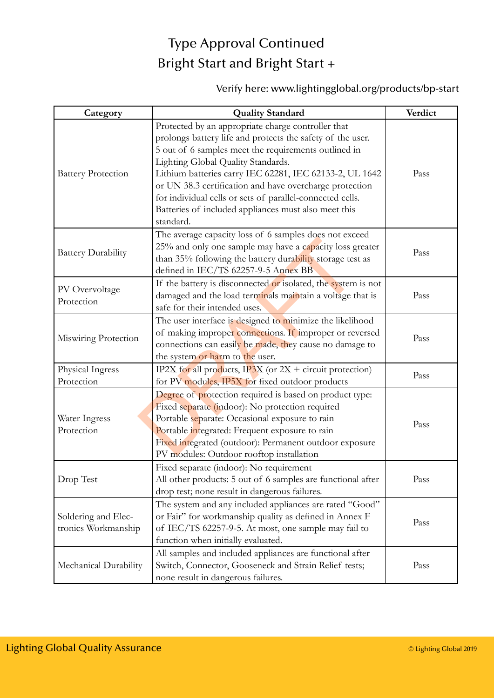# Type Approval Continued [Bright Start and Bright Start +](DBF_PRODUCT)

#### Verify here: www.lightingglobal.org/products[/bp-start](DBF_REFERENCE)

| Category                                   | <b>Quality Standard</b>                                                                                                                                                                                                                                                                                                                                                                                                                                                | Verdict |
|--------------------------------------------|------------------------------------------------------------------------------------------------------------------------------------------------------------------------------------------------------------------------------------------------------------------------------------------------------------------------------------------------------------------------------------------------------------------------------------------------------------------------|---------|
| <b>Battery Protection</b>                  | Protected by an appropriate charge controller that<br>prolongs battery life and protects the safety of the user.<br>5 out of 6 samples meet the requirements outlined in<br>Lighting Global Quality Standards.<br>Lithium batteries carry IEC 62281, IEC 62133-2, UL 1642<br>or UN 38.3 certification and have overcharge protection<br>for individual cells or sets of parallel-connected cells.<br>Batteries of included appliances must also meet this<br>standard. | Pass    |
| <b>Battery Durability</b>                  | The average capacity loss of 6 samples does not exceed<br>25% and only one sample may have a capacity loss greater<br>than 35% following the battery durability storage test as<br>defined in IEC/TS 62257-9-5 Annex BB                                                                                                                                                                                                                                                | Pass    |
| PV Overvoltage<br>Protection               | If the battery is disconnected or isolated, the system is not<br>damaged and the load terminals maintain a voltage that is<br>safe for their intended uses.                                                                                                                                                                                                                                                                                                            | Pass    |
| Miswiring Protection                       | The user interface is designed to minimize the likelihood<br>of making improper connections. If improper or reversed<br>connections can easily be made, they cause no damage to<br>the system or harm to the user.                                                                                                                                                                                                                                                     | Pass    |
| Physical Ingress<br>Protection             | IP2X for all products, IP3X (or $2X +$ circuit protection)<br>for PV modules, IP5X for fixed outdoor products                                                                                                                                                                                                                                                                                                                                                          | Pass    |
| Water Ingress<br>Protection                | Degree of protection required is based on product type:<br>Fixed separate (indoor): No protection required<br>Portable separate: Occasional exposure to rain<br>Portable integrated: Frequent exposure to rain<br>Fixed integrated (outdoor): Permanent outdoor exposure<br>PV modules: Outdoor rooftop installation                                                                                                                                                   | Pass    |
| Drop Test                                  | Fixed separate (indoor): No requirement<br>All other products: 5 out of 6 samples are functional after<br>drop test; none result in dangerous failures.                                                                                                                                                                                                                                                                                                                | Pass    |
| Soldering and Elec-<br>tronics Workmanship | The system and any included appliances are rated "Good"<br>or Fair" for workmanship quality as defined in Annex F<br>of IEC/TS 62257-9-5. At most, one sample may fail to<br>function when initially evaluated.                                                                                                                                                                                                                                                        | Pass    |
| Mechanical Durability                      | All samples and included appliances are functional after<br>Switch, Connector, Gooseneck and Strain Relief tests;<br>none result in dangerous failures.                                                                                                                                                                                                                                                                                                                | Pass    |